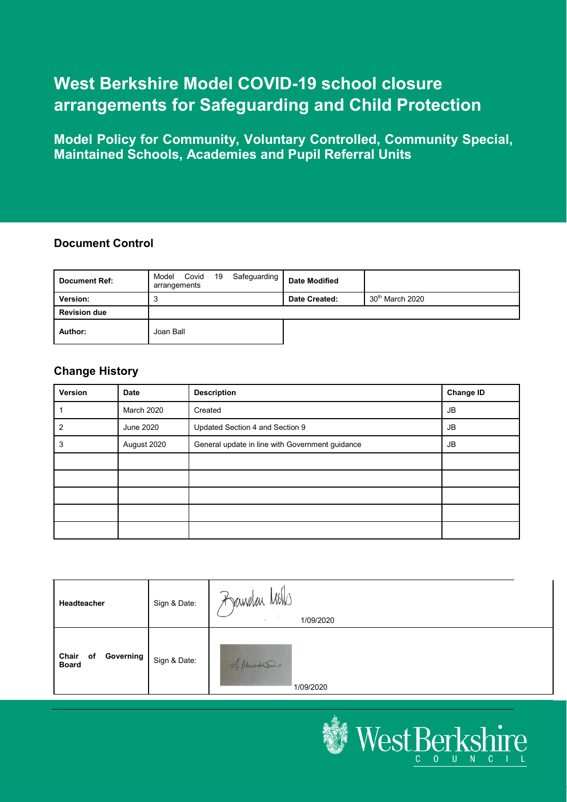# **West Berkshire Model COVID-19 school closure arrangements for Safeguarding and Child Protection**

**Model Policy for Community, Voluntary Controlled, Community Special, Maintained Schools, Academies and Pupil Referral Units**

#### **Document Control**

| <b>Document Ref:</b> | Covid 19<br>Safeguarding<br>Model<br>arrangements | <b>Date Modified</b> |                   |
|----------------------|---------------------------------------------------|----------------------|-------------------|
| Version:             | ю                                                 | Date Created:        | $30th$ March 2020 |
| <b>Revision due</b>  |                                                   |                      |                   |
| Author:              | Joan Ball                                         |                      |                   |

#### **Change History**

| Version | <b>Date</b>       | <b>Description</b>                              | <b>Change ID</b> |
|---------|-------------------|-------------------------------------------------|------------------|
|         | <b>March 2020</b> | Created                                         | <b>JB</b>        |
| 2       | June 2020         | Updated Section 4 and Section 9                 | JB               |
| 3       | August 2020       | General update in line with Government guidance | JB               |
|         |                   |                                                 |                  |
|         |                   |                                                 |                  |
|         |                   |                                                 |                  |
|         |                   |                                                 |                  |
|         |                   |                                                 |                  |

| Headteacher                              | Sign & Date: | $\mathbb{R}$<br>Bandan Mins<br>1/09/2020 |
|------------------------------------------|--------------|------------------------------------------|
| Governing<br>Chair<br>of<br><b>Board</b> | Sign & Date: | Mudso<br>1/09/2020                       |

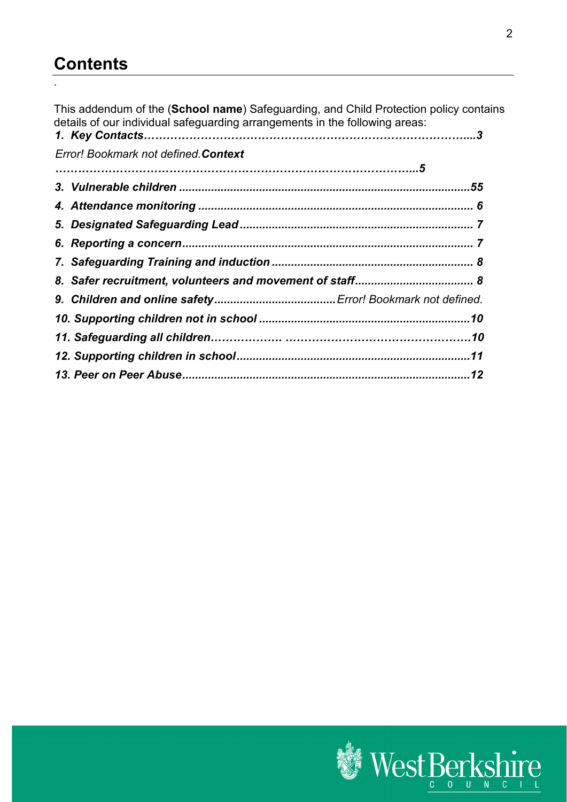# **Contents**

.

This addendum of the (**School name**) Safeguarding, and Child Protection policy contains details of our individual safeguarding arrangements in the following areas:

| Error! Bookmark not defined. Context |  |
|--------------------------------------|--|
|                                      |  |
|                                      |  |
|                                      |  |
|                                      |  |
|                                      |  |
|                                      |  |
|                                      |  |
|                                      |  |
|                                      |  |
|                                      |  |
|                                      |  |
|                                      |  |

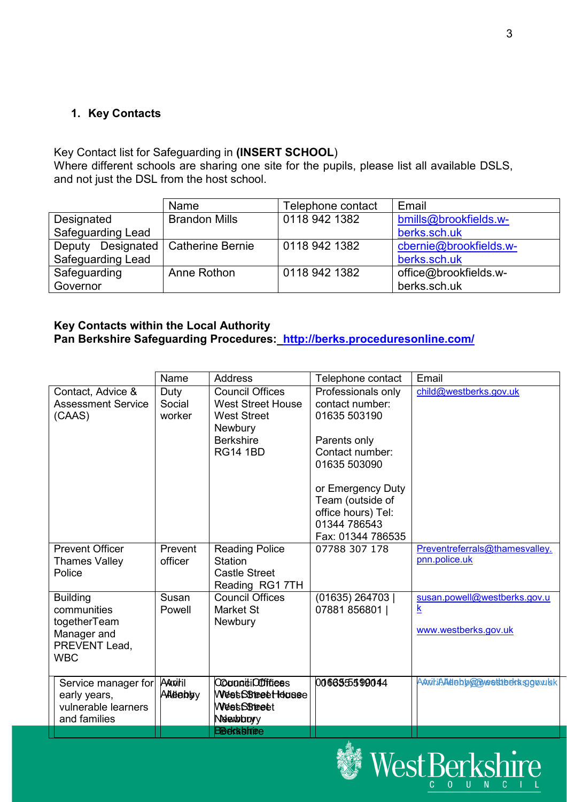#### **1. Key Contacts**

#### Key Contact list for Safeguarding in **(INSERT SCHOOL**)

Where different schools are sharing one site for the pupils, please list all available DSLS, and not just the DSL from the host school.

|                                      | Name                 | Telephone contact | Email                  |
|--------------------------------------|----------------------|-------------------|------------------------|
| Designated                           | <b>Brandon Mills</b> | 0118 942 1382     | bmills@brookfields.w-  |
| <b>Safeguarding Lead</b>             |                      |                   | berks.sch.uk           |
| Deputy Designated   Catherine Bernie |                      | 0118 942 1382     | cbernie@brookfields.w- |
| Safeguarding Lead                    |                      |                   | berks.sch.uk           |
| Safeguarding                         | Anne Rothon          | 0118 942 1382     | office@brookfields.w-  |
| Governor                             |                      |                   | berks.sch.uk           |

#### **Key Contacts within the Local Authority Pan Berkshire Safeguarding Procedures: <http://berks.proceduresonline.com/>**

|                              | Name     | <b>Address</b>           | Telephone contact  | Email                           |
|------------------------------|----------|--------------------------|--------------------|---------------------------------|
| Contact, Advice &            | Duty     | <b>Council Offices</b>   | Professionals only | child@westberks.gov.uk          |
| <b>Assessment Service</b>    | Social   | <b>West Street House</b> | contact number:    |                                 |
| (CAAS)                       | worker   | <b>West Street</b>       | 01635 503190       |                                 |
|                              |          | <b>Newbury</b>           |                    |                                 |
|                              |          | <b>Berkshire</b>         | Parents only       |                                 |
|                              |          | <b>RG14 1BD</b>          | Contact number:    |                                 |
|                              |          |                          | 01635 503090       |                                 |
|                              |          |                          | or Emergency Duty  |                                 |
|                              |          |                          | Team (outside of   |                                 |
|                              |          |                          | office hours) Tel: |                                 |
|                              |          |                          | 01344 786543       |                                 |
|                              |          |                          | Fax: 01344 786535  |                                 |
| <b>Prevent Officer</b>       | Prevent  | <b>Reading Police</b>    | 07788 307 178      | Preventreferrals@thamesvalley.  |
| <b>Thames Valley</b>         | officer  | Station                  |                    | pnn.police.uk                   |
| Police                       |          | <b>Castle Street</b>     |                    |                                 |
|                              |          | Reading RG1 7TH          |                    |                                 |
| <b>Building</b>              | Susan    | <b>Council Offices</b>   | (01635) 264703     | susan.powell@westberks.gov.u    |
| communities                  | Powell   | Market St                | 07881 856801       | k                               |
| togetherTeam                 |          | Newbury                  |                    | www.westberks.gov.uk            |
| Manager and<br>PREVENT Lead, |          |                          |                    |                                 |
| <b>WBC</b>                   |          |                          |                    |                                 |
|                              |          |                          |                    |                                 |
| Service manager for          | AAxitil  | <b>Cooppidicoffices</b>  | 0066355599044      | AAnitiAAddbb@@weettbekksggowlak |
| early years,                 | ААННАЫЗУ | WestSStreet Housse       |                    |                                 |
| vulnerable learners          |          | <b>WeetSSteet</b>        |                    |                                 |
| and families                 |          | Netextobicty             |                    |                                 |
|                              |          | <b>Beeksbiriee</b>       |                    |                                 |

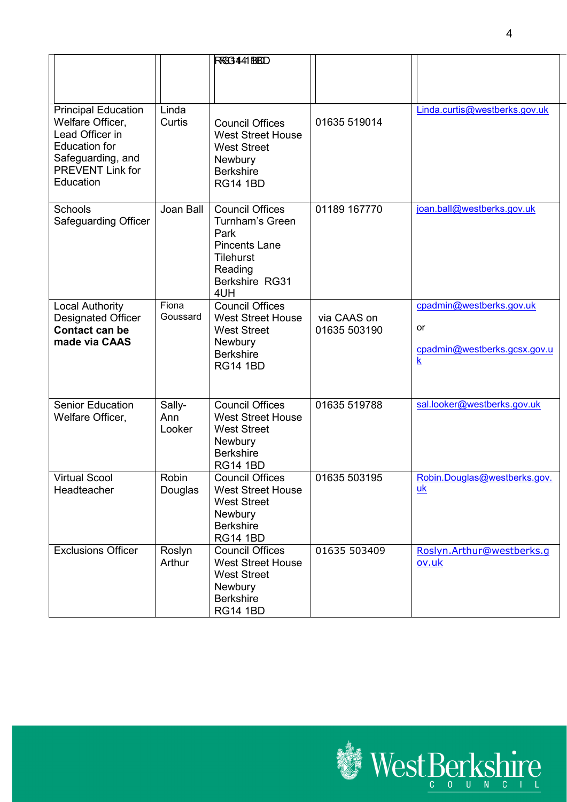|                                                                                                                                                        |                         | RRG3441 BBDD                                                                                                                             |                             |                                                                                           |
|--------------------------------------------------------------------------------------------------------------------------------------------------------|-------------------------|------------------------------------------------------------------------------------------------------------------------------------------|-----------------------------|-------------------------------------------------------------------------------------------|
| <b>Principal Education</b><br>Welfare Officer,<br>Lead Officer in<br><b>Education for</b><br>Safeguarding, and<br><b>PREVENT Link for</b><br>Education | Linda<br>Curtis         | <b>Council Offices</b><br><b>West Street House</b><br><b>West Street</b><br><b>Newbury</b><br><b>Berkshire</b><br><b>RG14 1BD</b>        | 01635 519014                | Linda.curtis@westberks.gov.uk                                                             |
| Schools<br><b>Safeguarding Officer</b>                                                                                                                 | Joan Ball               | <b>Council Offices</b><br><b>Turnham's Green</b><br>Park<br><b>Pincents Lane</b><br><b>Tilehurst</b><br>Reading<br>Berkshire RG31<br>4UH | 01189 167770                | joan.ball@westberks.gov.uk                                                                |
| <b>Local Authority</b><br><b>Designated Officer</b><br><b>Contact can be</b><br>made via CAAS                                                          | Fiona<br>Goussard       | <b>Council Offices</b><br><b>West Street House</b><br><b>West Street</b><br>Newbury<br><b>Berkshire</b><br><b>RG14 1BD</b>               | via CAAS on<br>01635 503190 | cpadmin@westberks.gov.uk<br>or<br>cpadmin@westberks.gcsx.gov.u<br>$\overline{\mathbf{k}}$ |
| <b>Senior Education</b><br>Welfare Officer,                                                                                                            | Sally-<br>Ann<br>Looker | <b>Council Offices</b><br><b>West Street House</b><br><b>West Street</b><br>Newbury<br><b>Berkshire</b><br><b>RG14 1BD</b>               | 01635 519788                | sal.looker@westberks.gov.uk                                                               |
| <b>Virtual Scool</b><br>Headteacher                                                                                                                    | <b>Robin</b><br>Douglas | <b>Council Offices</b><br><b>West Street House</b><br><b>West Street</b><br>Newbury<br><b>Berkshire</b><br><b>RG14 1BD</b>               | 01635 503195                | Robin.Douglas@westberks.gov.<br>$\underline{uk}$                                          |
| <b>Exclusions Officer</b>                                                                                                                              | Roslyn<br>Arthur        | <b>Council Offices</b><br><b>West Street House</b><br><b>West Street</b><br>Newbury<br><b>Berkshire</b><br><b>RG14 1BD</b>               | 01635 503409                | Roslyn.Arthur@westberks.q<br>ov.uk                                                        |

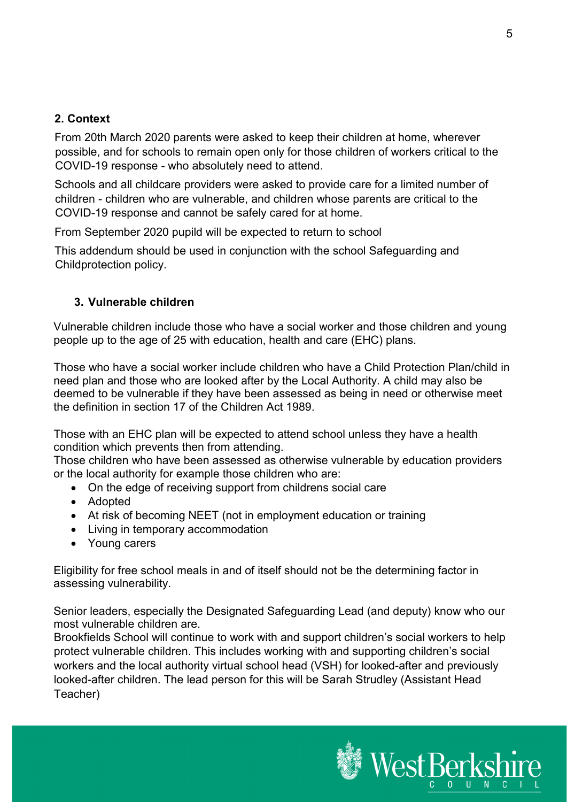### **2. Context**

From 20th March 2020 parents were asked to keep their children at home, wherever possible, and for schools to remain open only for those children of workers critical to the COVID-19 response - who absolutely need to attend.

Schools and all childcare providers were asked to provide care for a limited number of children - children who are vulnerable, and children whose parents are critical to the COVID-19 response and cannot be safely cared for at home.

From September 2020 pupild will be expected to return to school

This addendum should be used in conjunction with the school Safeguarding and Childprotection policy.

### <span id="page-4-0"></span>**3. Vulnerable children**

Vulnerable children include those who have a social worker and those children and young people up to the age of 25 with education, health and care (EHC) plans.

Those who have a social worker include children who have a Child Protection Plan/child in need plan and those who are looked after by the Local Authority. A child may also be deemed to be vulnerable if they have been assessed as being in need or otherwise meet the definition in section 17 of the Children Act 1989.

Those with an EHC plan will be expected to attend school unless they have a health condition which prevents then from attending.

Those children who have been assessed as otherwise vulnerable by education providers or the local authority for example those children who are:

- On the edge of receiving support from childrens social care
- Adopted
- At risk of becoming NEET (not in employment education or training
- Living in temporary accommodation
- Young carers

Eligibility for free school meals in and of itself should not be the determining factor in assessing vulnerability.

Senior leaders, especially the Designated Safeguarding Lead (and deputy) know who our most vulnerable children are.

Brookfields School will continue to work with and support children's social workers to help protect vulnerable children. This includes working with and supporting children's social workers and the local authority virtual school head (VSH) for looked-after and previously looked-after children. The lead person for this will be Sarah Strudley (Assistant Head Teacher)

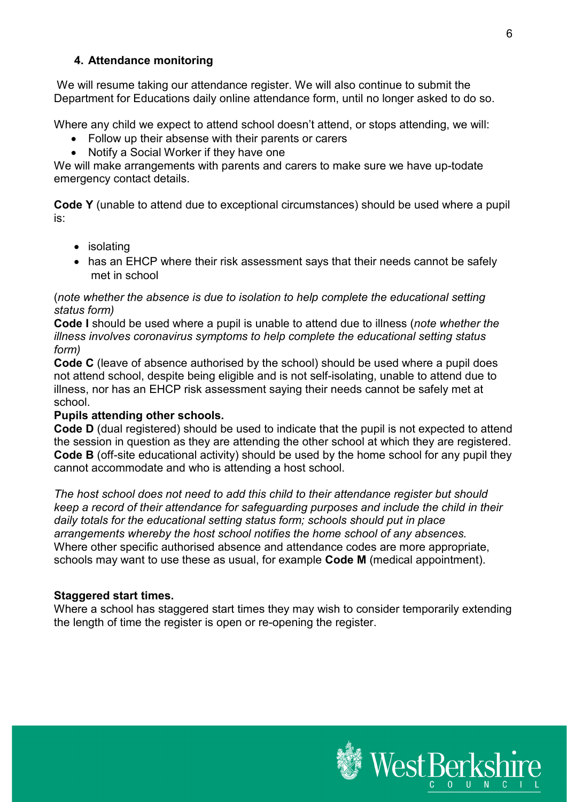#### <span id="page-5-0"></span>**4. Attendance monitoring**

We will resume taking our attendance register. We will also continue to submit the Department for Educations daily online attendance form, until no longer asked to do so.

Where any child we expect to attend school doesn't attend, or stops attending, we will:

- Follow up their absense with their parents or carers
- Notify a Social Worker if they have one

We will make arrangements with parents and carers to make sure we have up-todate emergency contact details.

**Code Y** (unable to attend due to exceptional circumstances) should be used where a pupil is:

- isolating
- has an EHCP where their risk assessment says that their needs cannot be safely met in school

#### (*note whether the absence is due to isolation to help complete the educational setting status form)*

**Code I** should be used where a pupil is unable to attend due to illness (*note whether the illness involves coronavirus symptoms to help complete the educational setting status form)* 

**Code C** (leave of absence authorised by the school) should be used where a pupil does not attend school, despite being eligible and is not self-isolating, unable to attend due to illness, nor has an EHCP risk assessment saying their needs cannot be safely met at school.

#### **Pupils attending other schools.**

**Code D** (dual registered) should be used to indicate that the pupil is not expected to attend the session in question as they are attending the other school at which they are registered. **Code B** (off-site educational activity) should be used by the home school for any pupil they cannot accommodate and who is attending a host school.

*The host school does not need to add this child to their attendance register but should keep a record of their attendance for safeguarding purposes and include the child in their daily totals for the educational setting status form; schools should put in place arrangements whereby the host school notifies the home school of any absences.* Where other specific authorised absence and attendance codes are more appropriate, schools may want to use these as usual, for example **Code M** (medical appointment).

#### **Staggered start times.**

Where a school has staggered start times they may wish to consider temporarily extending the length of time the register is open or re-opening the register.

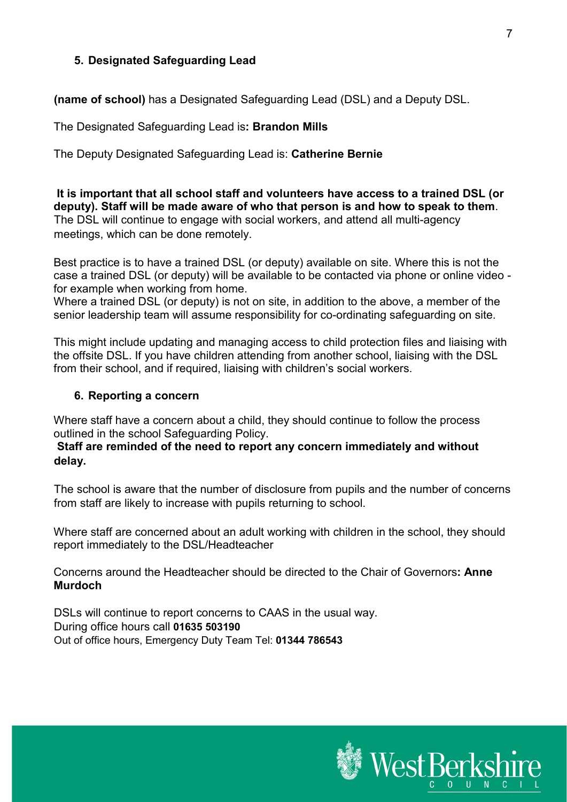### <span id="page-6-0"></span>**5. Designated Safeguarding Lead**

**(name of school)** has a Designated Safeguarding Lead (DSL) and a Deputy DSL.

The Designated Safeguarding Lead is**: Brandon Mills**

The Deputy Designated Safeguarding Lead is: **Catherine Bernie**

**It is important that all school staff and volunteers have access to a trained DSL (or deputy). Staff will be made aware of who that person is and how to speak to them**. The DSL will continue to engage with social workers, and attend all multi-agency meetings, which can be done remotely.

Best practice is to have a trained DSL (or deputy) available on site. Where this is not the case a trained DSL (or deputy) will be available to be contacted via phone or online video for example when working from home.

Where a trained DSL (or deputy) is not on site, in addition to the above, a member of the senior leadership team will assume responsibility for co-ordinating safeguarding on site.

This might include updating and managing access to child protection files and liaising with the offsite DSL. If you have children attending from another school, liaising with the DSL from their school, and if required, liaising with children's social workers.

#### <span id="page-6-1"></span>**6. Reporting a concern**

Where staff have a concern about a child, they should continue to follow the process outlined in the school Safeguarding Policy.

#### **Staff are reminded of the need to report any concern immediately and without delay.**

The school is aware that the number of disclosure from pupils and the number of concerns from staff are likely to increase with pupils returning to school.

Where staff are concerned about an adult working with children in the school, they should report immediately to the DSL/Headteacher

Concerns around the Headteacher should be directed to the Chair of Governors**: Anne Murdoch**

DSLs will continue to report concerns to CAAS in the usual way. During office hours call **01635 503190** Out of office hours, Emergency Duty Team Tel: **01344 786543**

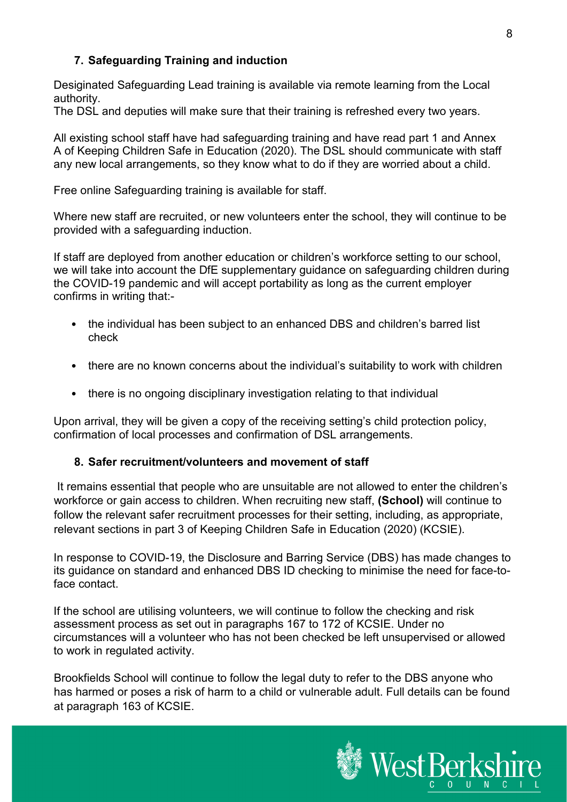### <span id="page-7-0"></span>**7. Safeguarding Training and induction**

Desiginated Safeguarding Lead training is available via remote learning from the Local authority.

The DSL and deputies will make sure that their training is refreshed every two years.

All existing school staff have had safeguarding training and have read part 1 and Annex A of Keeping Children Safe in Education (2020). The DSL should communicate with staff any new local arrangements, so they know what to do if they are worried about a child.

Free online Safeguarding training is available for staff.

Where new staff are recruited, or new volunteers enter the school, they will continue to be provided with a safeguarding induction.

If staff are deployed from another education or children's workforce setting to our school, we will take into account the DfE supplementary guidance on safeguarding children during the COVID-19 pandemic and will accept portability as long as the current employer confirms in writing that:-

- the individual has been subject to an enhanced DBS and children's barred list check
- there are no known concerns about the individual's suitability to work with children
- there is no ongoing disciplinary investigation relating to that individual

Upon arrival, they will be given a copy of the receiving setting's child protection policy, confirmation of local processes and confirmation of DSL arrangements.

#### <span id="page-7-1"></span>**8. Safer recruitment/volunteers and movement of staff**

It remains essential that people who are unsuitable are not allowed to enter the children's workforce or gain access to children. When recruiting new staff, **(School)** will continue to follow the relevant safer recruitment processes for their setting, including, as appropriate, relevant sections in part 3 of Keeping Children Safe in Education (2020) (KCSIE).

In response to COVID-19, the Disclosure and Barring Service (DBS) has made changes to its guidance on standard and enhanced DBS ID checking to minimise the need for face-toface contact.

If the school are utilising volunteers, we will continue to follow the checking and risk assessment process as set out in paragraphs 167 to 172 of KCSIE. Under no circumstances will a volunteer who has not been checked be left unsupervised or allowed to work in regulated activity.

Brookfields School will continue to follow the legal duty to refer to the DBS anyone who has harmed or poses a risk of harm to a child or vulnerable adult. Full details can be found at paragraph 163 of KCSIE.

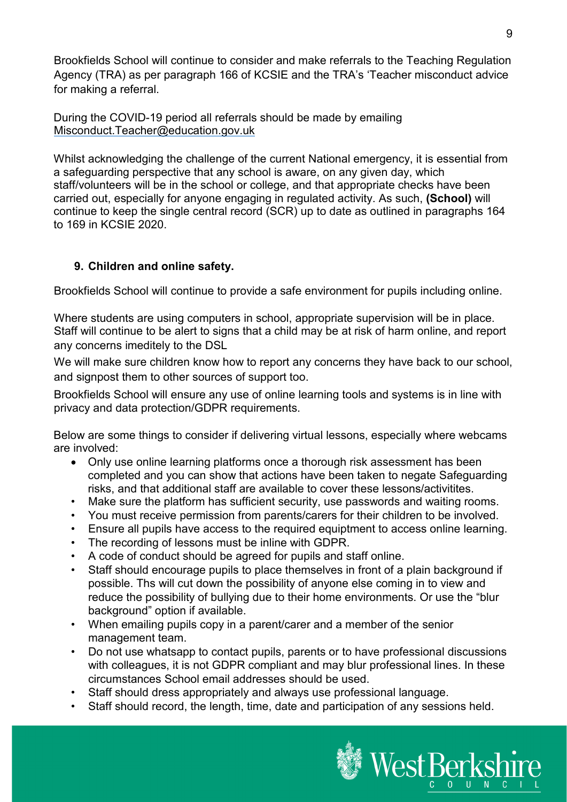Brookfields School will continue to consider and make referrals to the Teaching Regulation Agency (TRA) as per paragraph 166 of KCSIE and the TRA's 'Teacher misconduct advice for making a referral.

During the COVID-19 period all referrals should be made by emailing Misconduct.Teacher@education.gov.uk

Whilst acknowledging the challenge of the current National emergency, it is essential from a safeguarding perspective that any school is aware, on any given day, which staff/volunteers will be in the school or college, and that appropriate checks have been carried out, especially for anyone engaging in regulated activity. As such, **(School)** will continue to keep the single central record (SCR) up to date as outlined in paragraphs 164 to 169 in KCSIE 2020.

## **9. Children and online safety.**

Brookfields School will continue to provide a safe environment for pupils including online.

Where students are using computers in school, appropriate supervision will be in place. Staff will continue to be alert to signs that a child may be at risk of harm online, and report any concerns imeditely to the DSL

We will make sure children know how to report any concerns they have back to our school, and signpost them to other sources of support too.

Brookfields School will ensure any use of online learning tools and systems is in line with privacy and data protection/GDPR requirements.

Below are some things to consider if delivering virtual lessons, especially where webcams are involved:

- Only use online learning platforms once a thorough risk assessment has been completed and you can show that actions have been taken to negate Safeguarding risks, and that additional staff are available to cover these lessons/activitites.
- Make sure the platform has sufficient security, use passwords and waiting rooms.
- You must receive permission from parents/carers for their children to be involved.
- Ensure all pupils have access to the required equiptment to access online learning.
- The recording of lessons must be inline with GDPR.
- A code of conduct should be agreed for pupils and staff online.
- Staff should encourage pupils to place themselves in front of a plain background if possible. Ths will cut down the possibility of anyone else coming in to view and reduce the possibility of bullying due to their home environments. Or use the "blur background" option if available.
- When emailing pupils copy in a parent/carer and a member of the senior management team.
- Do not use whatsapp to contact pupils, parents or to have professional discussions with colleagues, it is not GDPR compliant and may blur professional lines. In these circumstances School email addresses should be used.
- Staff should dress appropriately and always use professional language.
- Staff should record, the length, time, date and participation of any sessions held.

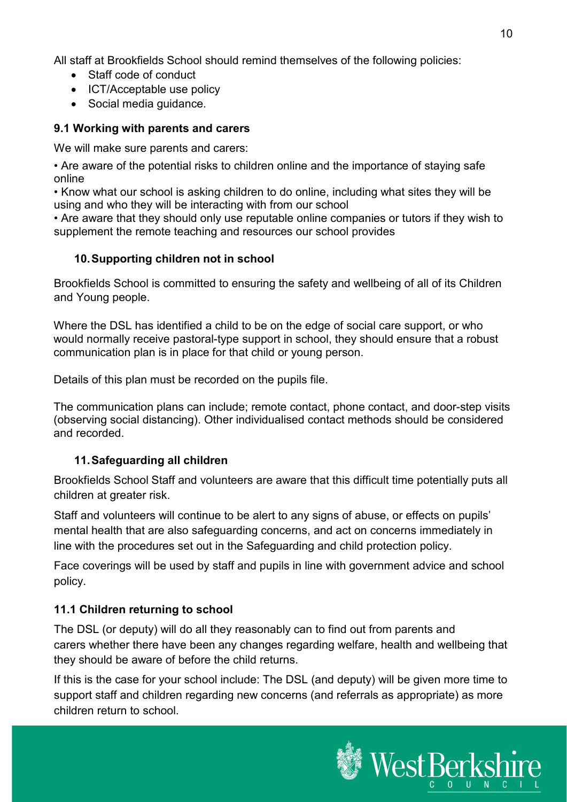All staff at Brookfields School should remind themselves of the following policies:

- Staff code of conduct
- ICT/Acceptable use policy
- Social media guidance.

### **9.1 Working with parents and carers**

We will make sure parents and carers:

• Are aware of the potential risks to children online and the importance of staying safe online

• Know what our school is asking children to do online, including what sites they will be using and who they will be interacting with from our school

• Are aware that they should only use reputable online companies or tutors if they wish to supplement the remote teaching and resources our school provides

### <span id="page-9-0"></span>**10.Supporting children not in school**

Brookfields School is committed to ensuring the safety and wellbeing of all of its Children and Young people.

Where the DSL has identified a child to be on the edge of social care support, or who would normally receive pastoral-type support in school, they should ensure that a robust communication plan is in place for that child or young person.

Details of this plan must be recorded on the pupils file.

The communication plans can include; remote contact, phone contact, and door-step visits (observing social distancing). Other individualised contact methods should be considered and recorded.

## **11.Safeguarding all children**

Brookfields School Staff and volunteers are aware that this difficult time potentially puts all children at greater risk.

Staff and volunteers will continue to be alert to any signs of abuse, or effects on pupils' mental health that are also safeguarding concerns, and act on concerns immediately in line with the procedures set out in the Safeguarding and child protection policy.

Face coverings will be used by staff and pupils in line with government advice and school policy.

## **11.1 Children returning to school**

The DSL (or deputy) will do all they reasonably can to find out from parents and carers whether there have been any changes regarding welfare, health and wellbeing that they should be aware of before the child returns.

If this is the case for your school include: The DSL (and deputy) will be given more time to support staff and children regarding new concerns (and referrals as appropriate) as more children return to school.

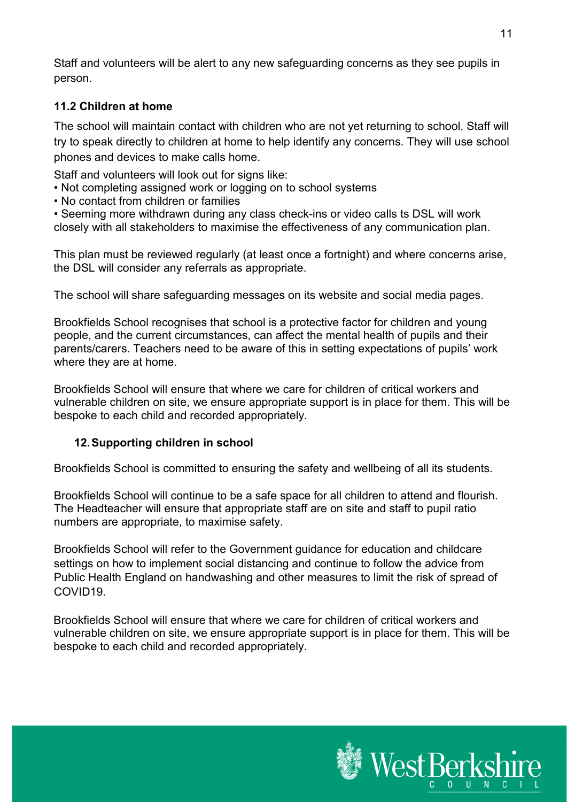Staff and volunteers will be alert to any new safeguarding concerns as they see pupils in person.

## **11.2 Children at home**

The school will maintain contact with children who are not yet returning to school. Staff will try to speak directly to children at home to help identify any concerns. They will use school phones and devices to make calls home.

Staff and volunteers will look out for signs like:

- Not completing assigned work or logging on to school systems
- No contact from children or families

• Seeming more withdrawn during any class check-ins or video calls ts DSL will work closely with all stakeholders to maximise the effectiveness of any communication plan.

This plan must be reviewed regularly (at least once a fortnight) and where concerns arise, the DSL will consider any referrals as appropriate.

The school will share safeguarding messages on its website and social media pages.

Brookfields School recognises that school is a protective factor for children and young people, and the current circumstances, can affect the mental health of pupils and their parents/carers. Teachers need to be aware of this in setting expectations of pupils' work where they are at home.

Brookfields School will ensure that where we care for children of critical workers and vulnerable children on site, we ensure appropriate support is in place for them. This will be bespoke to each child and recorded appropriately.

## <span id="page-10-0"></span>**12.Supporting children in school**

Brookfields School is committed to ensuring the safety and wellbeing of all its students.

Brookfields School will continue to be a safe space for all children to attend and flourish. The Headteacher will ensure that appropriate staff are on site and staff to pupil ratio numbers are appropriate, to maximise safety.

Brookfields School will refer to the Government guidance for education and childcare settings on how to implement social distancing and continue to follow the advice from Public Health England on handwashing and other measures to limit the risk of spread of COVID19.

Brookfields School will ensure that where we care for children of critical workers and vulnerable children on site, we ensure appropriate support is in place for them. This will be bespoke to each child and recorded appropriately.